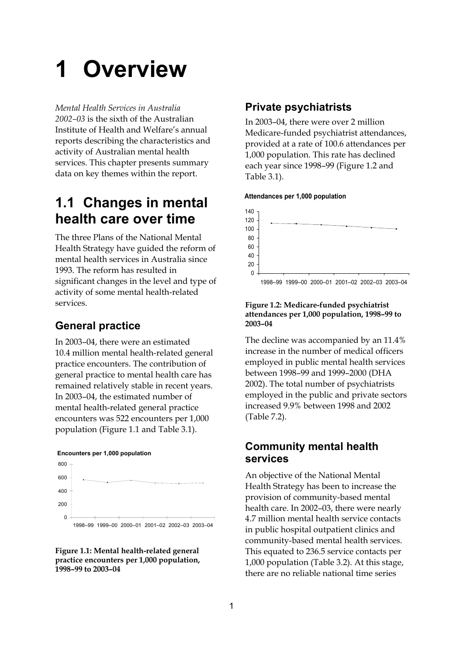# **1 Overview**

*Mental Health Services in Australia 2002–03* is the sixth of the Australian Institute of Health and Welfare's annual reports describing the characteristics and activity of Australian mental health services. This chapter presents summary data on key themes within the report.

# **1.1 Changes in mental health care over time**

The three Plans of the National Mental Health Strategy have guided the reform of mental health services in Australia since 1993. The reform has resulted in significant changes in the level and type of activity of some mental health-related services.

## **General practice**

In 2003–04, there were an estimated 10.4 million mental health-related general practice encounters. The contribution of general practice to mental health care has remained relatively stable in recent years. In 2003–04, the estimated number of mental health-related general practice encounters was 522 encounters per 1,000 population (Figure 1.1 and Table 3.1).

#### **Encounters per 1,000 population**



**Figure 1.1: Mental health-related general practice encounters per 1,000 population, 1998–99 to 2003–04**

## **Private psychiatrists**

In 2003–04, there were over 2 million Medicare-funded psychiatrist attendances, provided at a rate of 100.6 attendances per 1,000 population. This rate has declined each year since 1998–99 (Figure 1.2 and Table 3.1).

#### **Attendances per 1,000 population**



#### **Figure 1.2: Medicare-funded psychiatrist attendances per 1,000 population, 1998–99 to 2003–04**

The decline was accompanied by an 11.4% increase in the number of medical officers employed in public mental health services between 1998–99 and 1999–2000 (DHA 2002). The total number of psychiatrists employed in the public and private sectors increased 9.9% between 1998 and 2002 (Table 7.2).

## **Community mental health services**

An objective of the National Mental Health Strategy has been to increase the provision of community-based mental health care. In 2002–03, there were nearly 4.7 million mental health service contacts in public hospital outpatient clinics and community-based mental health services. This equated to 236.5 service contacts per 1,000 population (Table 3.2). At this stage, there are no reliable national time series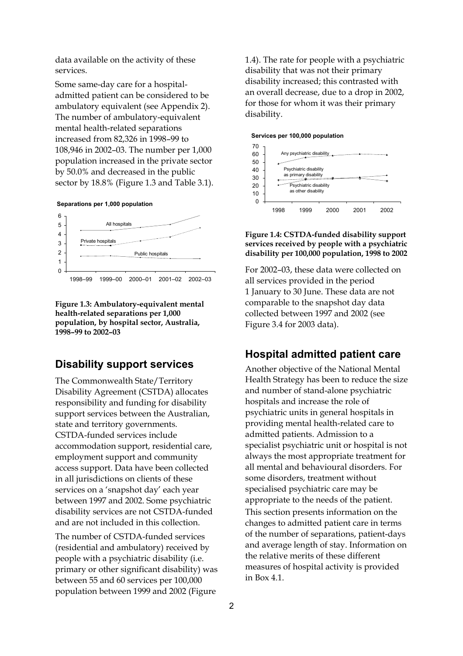data available on the activity of these services.

Some same-day care for a hospitaladmitted patient can be considered to be ambulatory equivalent (see Appendix 2). The number of ambulatory-equivalent mental health-related separations increased from 82,326 in 1998–99 to 108,946 in 2002–03. The number per 1,000 population increased in the private sector by 50.0% and decreased in the public sector by 18.8% (Figure 1.3 and Table 3.1).





#### **Figure 1.3: Ambulatory-equivalent mental health-related separations per 1,000 population, by hospital sector, Australia, 1998–99 to 2002–03**

### **Disability support services**

The Commonwealth State/Territory Disability Agreement (CSTDA) allocates responsibility and funding for disability support services between the Australian, state and territory governments. CSTDA-funded services include accommodation support, residential care, employment support and community access support. Data have been collected in all jurisdictions on clients of these services on a 'snapshot day' each year between 1997 and 2002. Some psychiatric disability services are not CSTDA-funded and are not included in this collection.

The number of CSTDA-funded services (residential and ambulatory) received by people with a psychiatric disability (i.e. primary or other significant disability) was between 55 and 60 services per 100,000 population between 1999 and 2002 (Figure

1.4). The rate for people with a psychiatric disability that was not their primary disability increased; this contrasted with an overall decrease, due to a drop in 2002, for those for whom it was their primary disability.





#### **Figure 1.4: CSTDA-funded disability support services received by people with a psychiatric disability per 100,000 population, 1998 to 2002**

For 2002–03, these data were collected on all services provided in the period 1 January to 30 June. These data are not comparable to the snapshot day data collected between 1997 and 2002 (see Figure 3.4 for 2003 data).

## **Hospital admitted patient care**

Another objective of the National Mental Health Strategy has been to reduce the size and number of stand-alone psychiatric hospitals and increase the role of psychiatric units in general hospitals in providing mental health-related care to admitted patients. Admission to a specialist psychiatric unit or hospital is not always the most appropriate treatment for all mental and behavioural disorders. For some disorders, treatment without specialised psychiatric care may be appropriate to the needs of the patient.

This section presents information on the changes to admitted patient care in terms of the number of separations, patient-days and average length of stay. Information on the relative merits of these different measures of hospital activity is provided in Box 4.1.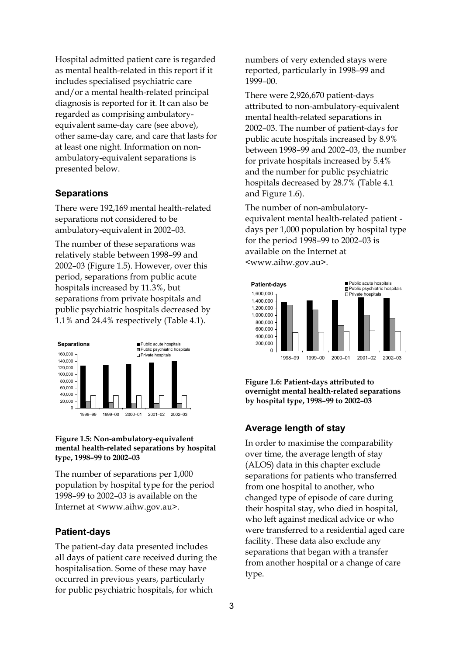Hospital admitted patient care is regarded as mental health-related in this report if it includes specialised psychiatric care and/or a mental health-related principal diagnosis is reported for it. It can also be regarded as comprising ambulatoryequivalent same-day care (see above), other same-day care, and care that lasts for at least one night. Information on nonambulatory-equivalent separations is presented below.

#### **Separations**

There were 192,169 mental health-related separations not considered to be ambulatory-equivalent in 2002–03.

The number of these separations was relatively stable between 1998–99 and 2002–03 (Figure 1.5). However, over this period, separations from public acute hospitals increased by 11.3%, but separations from private hospitals and public psychiatric hospitals decreased by 1.1% and 24.4% respectively (Table 4.1).



#### **Figure 1.5: Non-ambulatory-equivalent mental health-related separations by hospital type, 1998–99 to 2002–03**

The number of separations per 1,000 population by hospital type for the period 1998–99 to 2002–03 is available on the Internet at <www.aihw.gov.au>.

#### **Patient-days**

The patient-day data presented includes all days of patient care received during the hospitalisation. Some of these may have occurred in previous years, particularly for public psychiatric hospitals, for which

numbers of very extended stays were reported, particularly in 1998–99 and 1999–00.

There were 2,926,670 patient-days attributed to non-ambulatory-equivalent mental health-related separations in 2002–03. The number of patient-days for public acute hospitals increased by 8.9% between 1998–99 and 2002–03, the number for private hospitals increased by 5.4% and the number for public psychiatric hospitals decreased by 28.7% (Table 4.1 and Figure 1.6).

The number of non-ambulatoryequivalent mental health-related patient days per 1,000 population by hospital type for the period 1998–99 to 2002–03 is available on the Internet at <www.aihw.gov.au>.



**Figure 1.6: Patient-days attributed to overnight mental health-related separations by hospital type, 1998–99 to 2002–03** 

#### **Average length of stay**

In order to maximise the comparability over time, the average length of stay (ALOS) data in this chapter exclude separations for patients who transferred from one hospital to another, who changed type of episode of care during their hospital stay, who died in hospital, who left against medical advice or who were transferred to a residential aged care facility. These data also exclude any separations that began with a transfer from another hospital or a change of care type.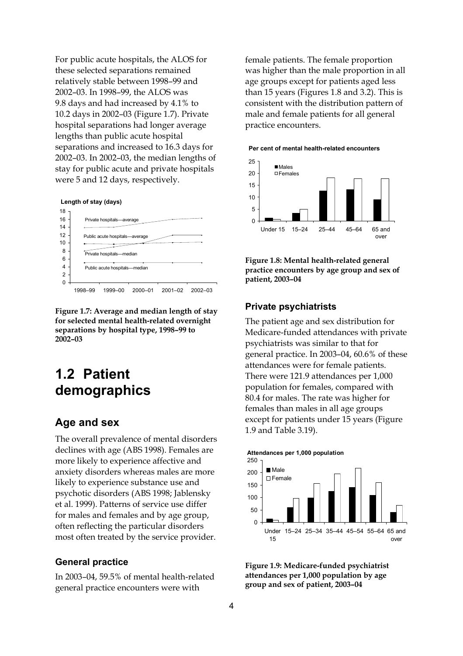For public acute hospitals, the ALOS for these selected separations remained relatively stable between 1998–99 and 2002–03. In 1998–99, the ALOS was 9.8 days and had increased by 4.1% to 10.2 days in 2002–03 (Figure 1.7). Private hospital separations had longer average lengths than public acute hospital separations and increased to 16.3 days for 2002–03. In 2002–03, the median lengths of stay for public acute and private hospitals were 5 and 12 days, respectively.

#### **Length of stay (days)**



**Figure 1.7: Average and median length of stay for selected mental health-related overnight separations by hospital type, 1998–99 to 2002–03** 

## **1.2 Patient demographics**

#### **Age and sex**

The overall prevalence of mental disorders declines with age (ABS 1998). Females are more likely to experience affective and anxiety disorders whereas males are more likely to experience substance use and psychotic disorders (ABS 1998; Jablensky et al. 1999). Patterns of service use differ for males and females and by age group, often reflecting the particular disorders most often treated by the service provider.

#### **General practice**

In 2003–04, 59.5% of mental health-related general practice encounters were with

female patients. The female proportion was higher than the male proportion in all age groups except for patients aged less than 15 years (Figures 1.8 and 3.2). This is consistent with the distribution pattern of male and female patients for all general practice encounters.

#### **Per cent of mental health-related encounters**



**Figure 1.8: Mental health-related general practice encounters by age group and sex of patient, 2003–04** 

#### **Private psychiatrists**

The patient age and sex distribution for Medicare-funded attendances with private psychiatrists was similar to that for general practice. In 2003–04, 60.6% of these attendances were for female patients. There were 121.9 attendances per 1,000 population for females, compared with 80.4 for males. The rate was higher for females than males in all age groups except for patients under 15 years (Figure 1.9 and Table 3.19).



**Figure 1.9: Medicare-funded psychiatrist attendances per 1,000 population by age group and sex of patient, 2003–04**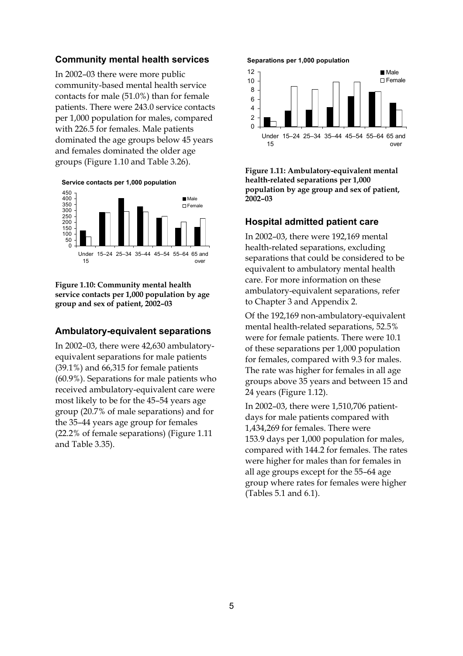#### **Community mental health services**

In 2002–03 there were more public community-based mental health service contacts for male (51.0%) than for female patients. There were 243.0 service contacts per 1,000 population for males, compared with 226.5 for females. Male patients dominated the age groups below 45 years and females dominated the older age groups (Figure 1.10 and Table 3.26).

 $\Omega$ 50 100 150 200 250 300 350 400 450 Under 15 15–24 25–34 35–44 45–54 55–64 65 and over **Male** □ Female **Service contacts per 1,000 population**

**Figure 1.10: Community mental health service contacts per 1,000 population by age group and sex of patient, 2002–03** 

#### **Ambulatory-equivalent separations**

In 2002–03, there were 42,630 ambulatoryequivalent separations for male patients (39.1%) and 66,315 for female patients (60.9%). Separations for male patients who received ambulatory-equivalent care were most likely to be for the 45–54 years age group (20.7% of male separations) and for the 35–44 years age group for females (22.2% of female separations) (Figure 1.11 and Table 3.35).

#### **Separations per 1,000 population**



**Figure 1.11: Ambulatory-equivalent mental health-related separations per 1,000 population by age group and sex of patient, 2002–03** 

#### **Hospital admitted patient care**

In 2002–03, there were 192,169 mental health-related separations, excluding separations that could be considered to be equivalent to ambulatory mental health care. For more information on these ambulatory-equivalent separations, refer to Chapter 3 and Appendix 2.

Of the 192,169 non-ambulatory-equivalent mental health-related separations, 52.5% were for female patients. There were 10.1 of these separations per 1,000 population for females, compared with 9.3 for males. The rate was higher for females in all age groups above 35 years and between 15 and 24 years (Figure 1.12).

In 2002–03, there were 1,510,706 patientdays for male patients compared with 1,434,269 for females. There were 153.9 days per 1,000 population for males, compared with 144.2 for females. The rates were higher for males than for females in all age groups except for the 55–64 age group where rates for females were higher (Tables 5.1 and 6.1).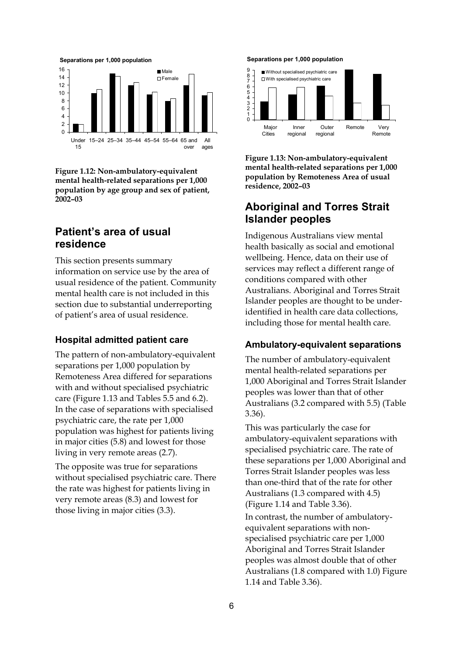

**Figure 1.12: Non-ambulatory-equivalent mental health-related separations per 1,000 population by age group and sex of patient, 2002–03** 

## **Patient's area of usual residence**

This section presents summary information on service use by the area of usual residence of the patient. Community mental health care is not included in this section due to substantial underreporting of patient's area of usual residence.

#### **Hospital admitted patient care**

The pattern of non-ambulatory-equivalent separations per 1,000 population by Remoteness Area differed for separations with and without specialised psychiatric care (Figure 1.13 and Tables 5.5 and 6.2). In the case of separations with specialised psychiatric care, the rate per 1,000 population was highest for patients living in major cities (5.8) and lowest for those living in very remote areas (2.7).

The opposite was true for separations without specialised psychiatric care. There the rate was highest for patients living in very remote areas (8.3) and lowest for those living in major cities (3.3).

#### **Separations per 1,000 population**



**Figure 1.13: Non-ambulatory-equivalent mental health-related separations per 1,000 population by Remoteness Area of usual residence, 2002–03** 

## **Aboriginal and Torres Strait Islander peoples**

Indigenous Australians view mental health basically as social and emotional wellbeing. Hence, data on their use of services may reflect a different range of conditions compared with other Australians. Aboriginal and Torres Strait Islander peoples are thought to be underidentified in health care data collections, including those for mental health care.

#### **Ambulatory-equivalent separations**

The number of ambulatory-equivalent mental health-related separations per 1,000 Aboriginal and Torres Strait Islander peoples was lower than that of other Australians (3.2 compared with 5.5) (Table 3.36).

This was particularly the case for ambulatory-equivalent separations with specialised psychiatric care. The rate of these separations per 1,000 Aboriginal and Torres Strait Islander peoples was less than one-third that of the rate for other Australians (1.3 compared with 4.5) (Figure 1.14 and Table 3.36). In contrast, the number of ambulatoryequivalent separations with nonspecialised psychiatric care per 1,000 Aboriginal and Torres Strait Islander peoples was almost double that of other Australians (1.8 compared with 1.0) Figure 1.14 and Table 3.36).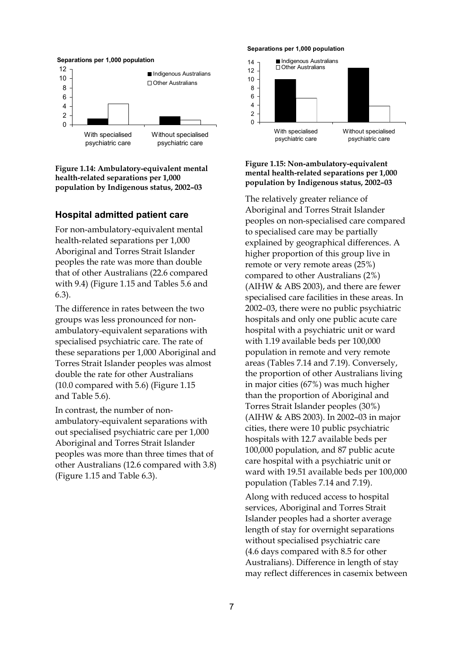

**Figure 1.14: Ambulatory-equivalent mental health-related separations per 1,000 population by Indigenous status, 2002–03** 

#### **Hospital admitted patient care**

For non-ambulatory-equivalent mental health-related separations per 1,000 Aboriginal and Torres Strait Islander peoples the rate was more than double that of other Australians (22.6 compared with 9.4) (Figure 1.15 and Tables 5.6 and 6.3).

The difference in rates between the two groups was less pronounced for nonambulatory-equivalent separations with specialised psychiatric care. The rate of these separations per 1,000 Aboriginal and Torres Strait Islander peoples was almost double the rate for other Australians (10.0 compared with 5.6) (Figure 1.15 and Table 5.6).

In contrast, the number of nonambulatory-equivalent separations with out specialised psychiatric care per 1,000 Aboriginal and Torres Strait Islander peoples was more than three times that of other Australians (12.6 compared with 3.8) (Figure 1.15 and Table 6.3).

#### **Separations per 1,000 population**



#### **Figure 1.15: Non-ambulatory-equivalent mental health-related separations per 1,000 population by Indigenous status, 2002–03**

The relatively greater reliance of Aboriginal and Torres Strait Islander peoples on non-specialised care compared to specialised care may be partially explained by geographical differences. A higher proportion of this group live in remote or very remote areas (25%) compared to other Australians (2%) (AIHW & ABS 2003), and there are fewer specialised care facilities in these areas. In 2002–03, there were no public psychiatric hospitals and only one public acute care hospital with a psychiatric unit or ward with 1.19 available beds per 100,000 population in remote and very remote areas (Tables 7.14 and 7.19). Conversely, the proportion of other Australians living in major cities (67%) was much higher than the proportion of Aboriginal and Torres Strait Islander peoples (30%) (AIHW & ABS 2003). In 2002–03 in major cities, there were 10 public psychiatric hospitals with 12.7 available beds per 100,000 population, and 87 public acute care hospital with a psychiatric unit or ward with 19.51 available beds per 100,000 population (Tables 7.14 and 7.19).

Along with reduced access to hospital services, Aboriginal and Torres Strait Islander peoples had a shorter average length of stay for overnight separations without specialised psychiatric care (4.6 days compared with 8.5 for other Australians). Difference in length of stay may reflect differences in casemix between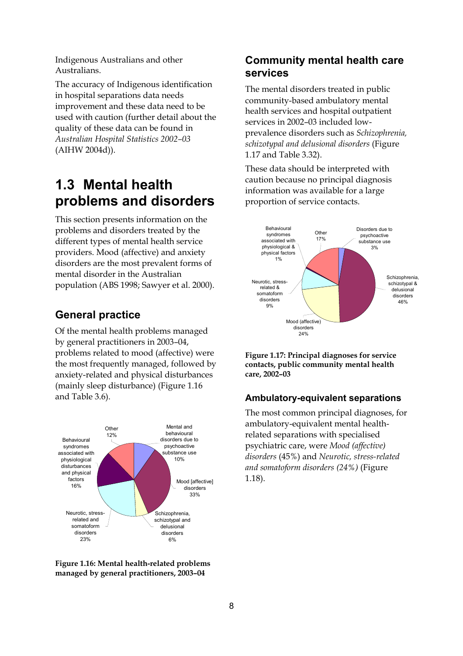Indigenous Australians and other Australians.

The accuracy of Indigenous identification in hospital separations data needs improvement and these data need to be used with caution (further detail about the quality of these data can be found in *Australian Hospital Statistics 2002–03* (AIHW 2004d)).

# **1.3 Mental health problems and disorders**

This section presents information on the problems and disorders treated by the different types of mental health service providers. Mood (affective) and anxiety disorders are the most prevalent forms of mental disorder in the Australian population (ABS 1998; Sawyer et al. 2000).

## **General practice**

Of the mental health problems managed by general practitioners in 2003–04, problems related to mood (affective) were the most frequently managed, followed by anxiety-related and physical disturbances (mainly sleep disturbance) (Figure 1.16 and Table 3.6).





## **Community mental health care services**

The mental disorders treated in public community-based ambulatory mental health services and hospital outpatient services in 2002–03 included lowprevalence disorders such as *Schizophrenia, schizotypal and delusional disorders* (Figure 1.17 and Table 3.32).

These data should be interpreted with caution because no principal diagnosis information was available for a large proportion of service contacts.



**Figure 1.17: Principal diagnoses for service contacts, public community mental health care, 2002–03**

#### **Ambulatory-equivalent separations**

The most common principal diagnoses, for ambulatory-equivalent mental healthrelated separations with specialised psychiatric care, were *Mood (affective) disorders* (45%) and *Neurotic, stress-related and somatoform disorders (24%)* (Figure 1.18).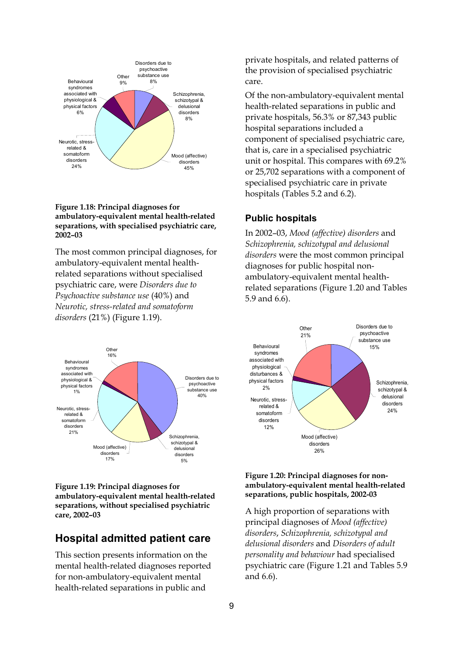

#### **Figure 1.18: Principal diagnoses for ambulatory-equivalent mental health-related separations, with specialised psychiatric care, 2002–03**

The most common principal diagnoses, for ambulatory-equivalent mental healthrelated separations without specialised psychiatric care, were *Disorders due to Psychoactive substance use* (40%) and *Neurotic, stress-related and somatoform disorders* (21%) (Figure 1.19).



**Figure 1.19: Principal diagnoses for ambulatory-equivalent mental health-related separations, without specialised psychiatric care, 2002–03**

## **Hospital admitted patient care**

This section presents information on the mental health-related diagnoses reported for non-ambulatory-equivalent mental health-related separations in public and

private hospitals, and related patterns of the provision of specialised psychiatric care.

Of the non-ambulatory-equivalent mental health-related separations in public and private hospitals, 56.3% or 87,343 public hospital separations included a component of specialised psychiatric care, that is, care in a specialised psychiatric unit or hospital. This compares with 69.2% or 25,702 separations with a component of specialised psychiatric care in private hospitals (Tables 5.2 and 6.2).

#### **Public hospitals**

In 2002–03, *Mood (affective) disorders* and *Schizophrenia, schizotypal and delusional disorders* were the most common principal diagnoses for public hospital nonambulatory-equivalent mental healthrelated separations (Figure 1.20 and Tables 5.9 and 6.6).



#### **Figure 1.20: Principal diagnoses for nonambulatory-equivalent mental health-related separations, public hospitals, 2002-03**

A high proportion of separations with principal diagnoses of *Mood (affective) disorders*, *Schizophrenia, schizotypal and delusional disorders* and *Disorders of adult personality and behaviour* had specialised psychiatric care (Figure 1.21 and Tables 5.9 and 6.6).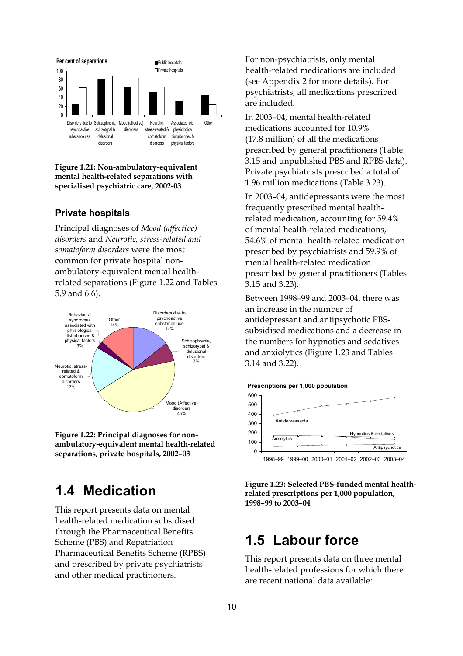

**Figure 1.21: Non-ambulatory-equivalent mental health-related separations with specialised psychiatric care, 2002-03** 

#### **Private hospitals**

Principal diagnoses of *Mood (affective) disorders* and *Neurotic, stress-related and somatoform disorders* were the most common for private hospital nonambulatory-equivalent mental healthrelated separations (Figure 1.22 and Tables 5.9 and 6.6).



**Figure 1.22: Principal diagnoses for nonambulatory-equivalent mental health-related separations, private hospitals, 2002–03** 

## **1.4 Medication**

This report presents data on mental health-related medication subsidised through the Pharmaceutical Benefits Scheme (PBS) and Repatriation Pharmaceutical Benefits Scheme (RPBS) and prescribed by private psychiatrists and other medical practitioners.

For non-psychiatrists, only mental health-related medications are included (see Appendix 2 for more details). For psychiatrists, all medications prescribed are included.

In 2003–04, mental health-related medications accounted for 10.9% (17.8 million) of all the medications prescribed by general practitioners (Table 3.15 and unpublished PBS and RPBS data). Private psychiatrists prescribed a total of 1.96 million medications (Table 3.23).

In 2003–04, antidepressants were the most frequently prescribed mental healthrelated medication, accounting for 59.4% of mental health-related medications, 54.6% of mental health-related medication prescribed by psychiatrists and 59.9% of mental health-related medication prescribed by general practitioners (Tables 3.15 and 3.23).

Between 1998–99 and 2003–04, there was an increase in the number of antidepressant and antipsychotic PBSsubsidised medications and a decrease in the numbers for hypnotics and sedatives and anxiolytics (Figure 1.23 and Tables 3.14 and 3.22).





**Figure 1.23: Selected PBS-funded mental healthrelated prescriptions per 1,000 population, 1998–99 to 2003–04** 

## **1.5 Labour force**

This report presents data on three mental health-related professions for which there are recent national data available: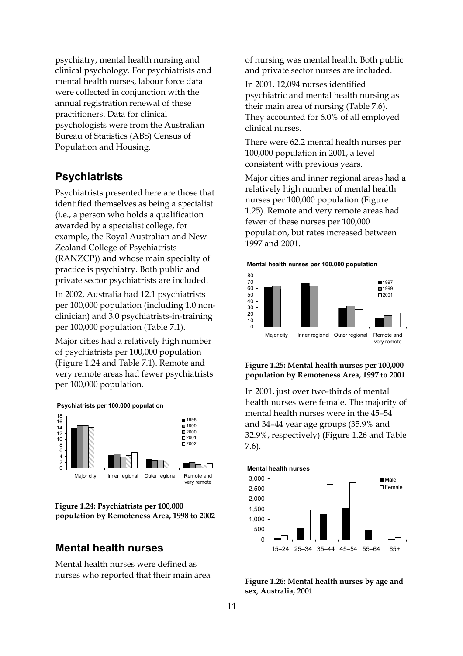psychiatry, mental health nursing and clinical psychology. For psychiatrists and mental health nurses, labour force data were collected in conjunction with the annual registration renewal of these practitioners. Data for clinical psychologists were from the Australian Bureau of Statistics (ABS) Census of Population and Housing.

#### **Psychiatrists**

Psychiatrists presented here are those that identified themselves as being a specialist (i.e., a person who holds a qualification awarded by a specialist college, for example, the Royal Australian and New Zealand College of Psychiatrists (RANZCP)) and whose main specialty of practice is psychiatry. Both public and private sector psychiatrists are included.

In 2002, Australia had 12.1 psychiatrists per 100,000 population (including 1.0 nonclinician) and 3.0 psychiatrists-in-training per 100,000 population (Table 7.1).

Major cities had a relatively high number of psychiatrists per 100,000 population (Figure 1.24 and Table 7.1). Remote and very remote areas had fewer psychiatrists per 100,000 population.





## **Mental health nurses**

Mental health nurses were defined as nurses who reported that their main area of nursing was mental health. Both public and private sector nurses are included.

In 2001, 12,094 nurses identified psychiatric and mental health nursing as their main area of nursing (Table 7.6). They accounted for 6.0% of all employed clinical nurses.

There were 62.2 mental health nurses per 100,000 population in 2001, a level consistent with previous years.

Major cities and inner regional areas had a relatively high number of mental health nurses per 100,000 population (Figure 1.25). Remote and very remote areas had fewer of these nurses per 100,000 population, but rates increased between 1997 and 2001.





#### **Figure 1.25: Mental health nurses per 100,000 population by Remoteness Area, 1997 to 2001**

In 2001, just over two-thirds of mental health nurses were female. The majority of mental health nurses were in the 45–54 and 34–44 year age groups (35.9% and 32.9%, respectively) (Figure 1.26 and Table 7.6).



**Figure 1.26: Mental health nurses by age and sex, Australia, 2001**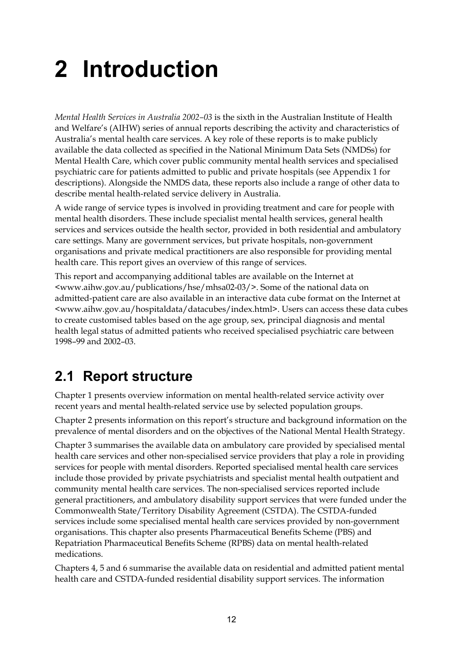# **2 Introduction**

*Mental Health Services in Australia 2002–03* is the sixth in the Australian Institute of Health and Welfare's (AIHW) series of annual reports describing the activity and characteristics of Australia's mental health care services. A key role of these reports is to make publicly available the data collected as specified in the National Minimum Data Sets (NMDSs) for Mental Health Care, which cover public community mental health services and specialised psychiatric care for patients admitted to public and private hospitals (see Appendix 1 for descriptions). Alongside the NMDS data, these reports also include a range of other data to describe mental health-related service delivery in Australia.

A wide range of service types is involved in providing treatment and care for people with mental health disorders. These include specialist mental health services, general health services and services outside the health sector, provided in both residential and ambulatory care settings. Many are government services, but private hospitals, non-government organisations and private medical practitioners are also responsible for providing mental health care. This report gives an overview of this range of services.

This report and accompanying additional tables are available on the Internet at <www.aihw.gov.au/publications/hse/mhsa02-03/>. Some of the national data on admitted-patient care are also available in an interactive data cube format on the Internet at <www.aihw.gov.au/hospitaldata/datacubes/index.html>. Users can access these data cubes to create customised tables based on the age group, sex, principal diagnosis and mental health legal status of admitted patients who received specialised psychiatric care between 1998–99 and 2002–03.

# **2.1 Report structure**

Chapter 1 presents overview information on mental health-related service activity over recent years and mental health-related service use by selected population groups.

Chapter 2 presents information on this report's structure and background information on the prevalence of mental disorders and on the objectives of the National Mental Health Strategy.

Chapter 3 summarises the available data on ambulatory care provided by specialised mental health care services and other non-specialised service providers that play a role in providing services for people with mental disorders. Reported specialised mental health care services include those provided by private psychiatrists and specialist mental health outpatient and community mental health care services. The non-specialised services reported include general practitioners, and ambulatory disability support services that were funded under the Commonwealth State/Territory Disability Agreement (CSTDA). The CSTDA-funded services include some specialised mental health care services provided by non-government organisations. This chapter also presents Pharmaceutical Benefits Scheme (PBS) and Repatriation Pharmaceutical Benefits Scheme (RPBS) data on mental health-related medications.

Chapters 4, 5 and 6 summarise the available data on residential and admitted patient mental health care and CSTDA-funded residential disability support services. The information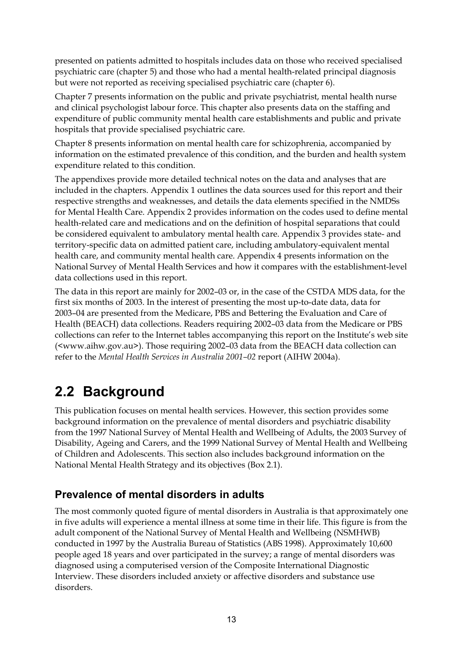presented on patients admitted to hospitals includes data on those who received specialised psychiatric care (chapter 5) and those who had a mental health-related principal diagnosis but were not reported as receiving specialised psychiatric care (chapter 6).

Chapter 7 presents information on the public and private psychiatrist, mental health nurse and clinical psychologist labour force. This chapter also presents data on the staffing and expenditure of public community mental health care establishments and public and private hospitals that provide specialised psychiatric care.

Chapter 8 presents information on mental health care for schizophrenia, accompanied by information on the estimated prevalence of this condition, and the burden and health system expenditure related to this condition.

The appendixes provide more detailed technical notes on the data and analyses that are included in the chapters. Appendix 1 outlines the data sources used for this report and their respective strengths and weaknesses, and details the data elements specified in the NMDSs for Mental Health Care. Appendix 2 provides information on the codes used to define mental health-related care and medications and on the definition of hospital separations that could be considered equivalent to ambulatory mental health care. Appendix 3 provides state- and territory-specific data on admitted patient care, including ambulatory-equivalent mental health care, and community mental health care. Appendix 4 presents information on the National Survey of Mental Health Services and how it compares with the establishment-level data collections used in this report.

The data in this report are mainly for 2002–03 or, in the case of the CSTDA MDS data, for the first six months of 2003. In the interest of presenting the most up-to-date data, data for 2003–04 are presented from the Medicare, PBS and Bettering the Evaluation and Care of Health (BEACH) data collections. Readers requiring 2002–03 data from the Medicare or PBS collections can refer to the Internet tables accompanying this report on the Institute's web site (<www.aihw.gov.au>). Those requiring 2002–03 data from the BEACH data collection can refer to the *Mental Health Services in Australia 2001–02* report (AIHW 2004a).

# **2.2 Background**

This publication focuses on mental health services. However, this section provides some background information on the prevalence of mental disorders and psychiatric disability from the 1997 National Survey of Mental Health and Wellbeing of Adults, the 2003 Survey of Disability, Ageing and Carers, and the 1999 National Survey of Mental Health and Wellbeing of Children and Adolescents. This section also includes background information on the National Mental Health Strategy and its objectives (Box 2.1).

## **Prevalence of mental disorders in adults**

The most commonly quoted figure of mental disorders in Australia is that approximately one in five adults will experience a mental illness at some time in their life. This figure is from the adult component of the National Survey of Mental Health and Wellbeing (NSMHWB) conducted in 1997 by the Australia Bureau of Statistics (ABS 1998). Approximately 10,600 people aged 18 years and over participated in the survey; a range of mental disorders was diagnosed using a computerised version of the Composite International Diagnostic Interview. These disorders included anxiety or affective disorders and substance use disorders.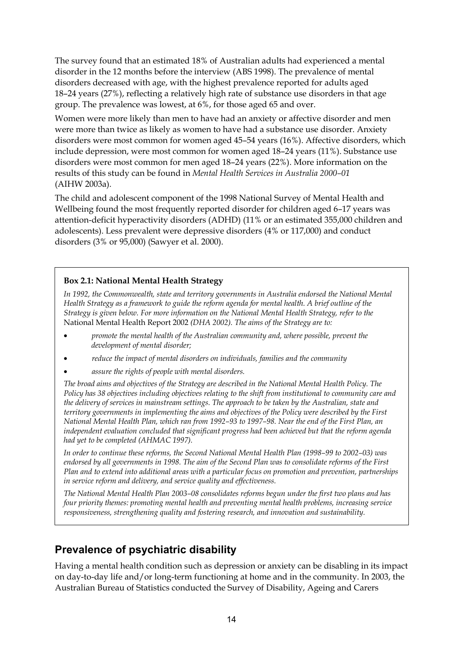The survey found that an estimated 18% of Australian adults had experienced a mental disorder in the 12 months before the interview (ABS 1998). The prevalence of mental disorders decreased with age, with the highest prevalence reported for adults aged 18–24 years (27%), reflecting a relatively high rate of substance use disorders in that age group. The prevalence was lowest, at 6%, for those aged 65 and over.

Women were more likely than men to have had an anxiety or affective disorder and men were more than twice as likely as women to have had a substance use disorder. Anxiety disorders were most common for women aged 45–54 years (16%). Affective disorders, which include depression, were most common for women aged 18–24 years (11%). Substance use disorders were most common for men aged 18–24 years (22%). More information on the results of this study can be found in *Mental Health Services in Australia 2000–01* (AIHW 2003a).

The child and adolescent component of the 1998 National Survey of Mental Health and Wellbeing found the most frequently reported disorder for children aged 6–17 years was attention-deficit hyperactivity disorders (ADHD) (11% or an estimated 355,000 children and adolescents). Less prevalent were depressive disorders (4% or 117,000) and conduct disorders (3% or 95,000) (Sawyer et al. 2000).

#### **Box 2.1: National Mental Health Strategy**

*In 1992, the Commonwealth, state and territory governments in Australia endorsed the National Mental Health Strategy as a framework to guide the reform agenda for mental health. A brief outline of the Strategy is given below. For more information on the National Mental Health Strategy, refer to the*  National Mental Health Report 2002 *(DHA 2002). The aims of the Strategy are to:* 

- *promote the mental health of the Australian community and, where possible, prevent the development of mental disorder;*
- *reduce the impact of mental disorders on individuals, families and the community*
- *assure the rights of people with mental disorders.*

*The broad aims and objectives of the Strategy are described in the National Mental Health Policy. The Policy has 38 objectives including objectives relating to the shift from institutional to community care and the delivery of services in mainstream settings. The approach to be taken by the Australian, state and territory governments in implementing the aims and objectives of the Policy were described by the First National Mental Health Plan, which ran from 1992–93 to 1997–98. Near the end of the First Plan, an independent evaluation concluded that significant progress had been achieved but that the reform agenda had yet to be completed (AHMAC 1997).* 

*In order to continue these reforms, the Second National Mental Health Plan (1998–99 to 2002–03) was endorsed by all governments in 1998. The aim of the Second Plan was to consolidate reforms of the First Plan and to extend into additional areas with a particular focus on promotion and prevention, partnerships in service reform and delivery, and service quality and effectiveness.* 

*The National Mental Health Plan 2003–08 consolidates reforms begun under the first two plans and has four priority themes: promoting mental health and preventing mental health problems, increasing service responsiveness, strengthening quality and fostering research, and innovation and sustainability.* 

## **Prevalence of psychiatric disability**

Having a mental health condition such as depression or anxiety can be disabling in its impact on day-to-day life and/or long-term functioning at home and in the community. In 2003, the Australian Bureau of Statistics conducted the Survey of Disability, Ageing and Carers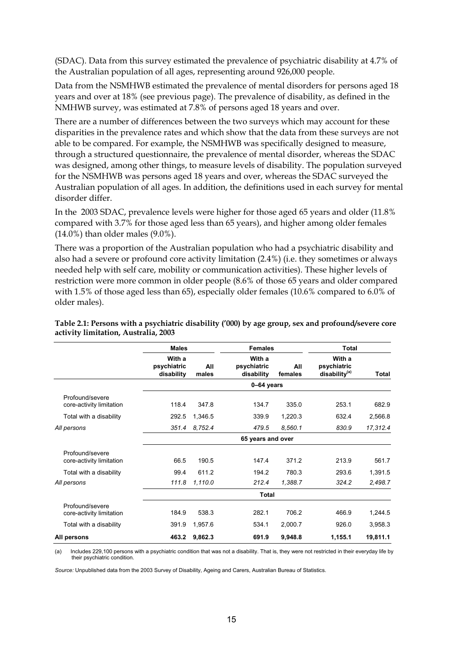(SDAC). Data from this survey estimated the prevalence of psychiatric disability at 4.7% of the Australian population of all ages, representing around 926,000 people.

Data from the NSMHWB estimated the prevalence of mental disorders for persons aged 18 years and over at 18% (see previous page). The prevalence of disability, as defined in the NMHWB survey, was estimated at 7.8% of persons aged 18 years and over.

There are a number of differences between the two surveys which may account for these disparities in the prevalence rates and which show that the data from these surveys are not able to be compared. For example, the NSMHWB was specifically designed to measure, through a structured questionnaire, the prevalence of mental disorder, whereas the SDAC was designed, among other things, to measure levels of disability. The population surveyed for the NSMHWB was persons aged 18 years and over, whereas the SDAC surveyed the Australian population of all ages. In addition, the definitions used in each survey for mental disorder differ.

In the 2003 SDAC, prevalence levels were higher for those aged 65 years and older (11.8% compared with 3.7% for those aged less than 65 years), and higher among older females (14.0%) than older males (9.0%).

There was a proportion of the Australian population who had a psychiatric disability and also had a severe or profound core activity limitation (2.4%) (i.e. they sometimes or always needed help with self care, mobility or communication activities). These higher levels of restriction were more common in older people (8.6% of those 65 years and older compared with 1.5% of those aged less than 65), especially older females (10.6% compared to 6.0% of older males).

|                                             | <b>Males</b>                        |              | <b>Females</b>                      |                | <b>Total</b>                                       |          |  |  |  |  |
|---------------------------------------------|-------------------------------------|--------------|-------------------------------------|----------------|----------------------------------------------------|----------|--|--|--|--|
|                                             | With a<br>psychiatric<br>disability | All<br>males | With a<br>psychiatric<br>disability | All<br>females | With a<br>psychiatric<br>disability <sup>(a)</sup> | Total    |  |  |  |  |
|                                             | 0-64 years                          |              |                                     |                |                                                    |          |  |  |  |  |
| Profound/severe<br>core-activity limitation | 118.4                               | 347.8        | 134.7                               | 335.0          | 253.1                                              | 682.9    |  |  |  |  |
| Total with a disability                     | 292.5                               | 1,346.5      | 339.9                               | 1,220.3        | 632.4                                              | 2,566.8  |  |  |  |  |
| All persons                                 | 351.4                               | 8.752.4      | 479.5                               | 8,560.1        | 830.9                                              | 17,312.4 |  |  |  |  |
|                                             | 65 years and over                   |              |                                     |                |                                                    |          |  |  |  |  |
| Profound/severe<br>core-activity limitation | 66.5                                | 190.5        | 147.4                               | 371.2          | 213.9                                              | 561.7    |  |  |  |  |
| Total with a disability                     | 99.4                                | 611.2        | 194.2                               | 780.3          | 293.6                                              | 1,391.5  |  |  |  |  |
| All persons                                 | 111.8                               | 1,110.0      | 212.4                               | 1,388.7        | 324.2                                              | 2,498.7  |  |  |  |  |
|                                             | <b>Total</b>                        |              |                                     |                |                                                    |          |  |  |  |  |
| Profound/severe<br>core-activity limitation | 184.9                               | 538.3        | 282.1                               | 706.2          | 466.9                                              | 1,244.5  |  |  |  |  |
| Total with a disability                     | 391.9                               | 1,957.6      | 534.1                               | 2,000.7        | 926.0                                              | 3,958.3  |  |  |  |  |
| All persons                                 | 463.2                               | 9,862.3      | 691.9                               | 9,948.8        | 1,155.1                                            | 19,811.1 |  |  |  |  |

**Table 2.1: Persons with a psychiatric disability ('000) by age group, sex and profound/severe core activity limitation, Australia, 2003** 

(a) Includes 229,100 persons with a psychiatric condition that was not a disability. That is, they were not restricted in their everyday life by their psychiatric condition.

*Source:* Unpublished data from the 2003 Survey of Disability, Ageing and Carers, Australian Bureau of Statistics.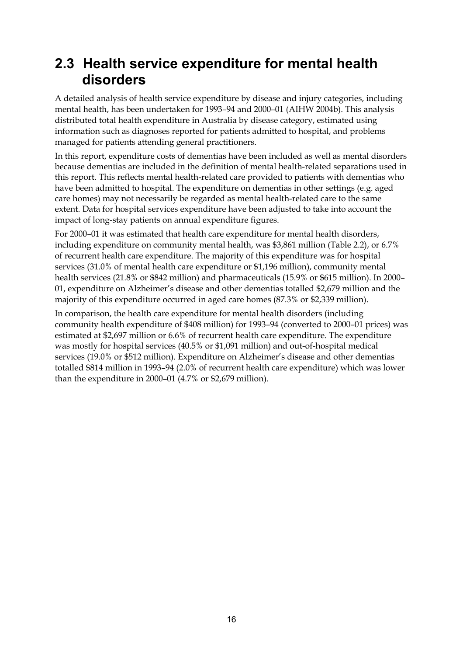# **2.3 Health service expenditure for mental health disorders**

A detailed analysis of health service expenditure by disease and injury categories, including mental health, has been undertaken for 1993–94 and 2000–01 (AIHW 2004b). This analysis distributed total health expenditure in Australia by disease category, estimated using information such as diagnoses reported for patients admitted to hospital, and problems managed for patients attending general practitioners.

In this report, expenditure costs of dementias have been included as well as mental disorders because dementias are included in the definition of mental health-related separations used in this report. This reflects mental health-related care provided to patients with dementias who have been admitted to hospital. The expenditure on dementias in other settings (e.g. aged care homes) may not necessarily be regarded as mental health-related care to the same extent. Data for hospital services expenditure have been adjusted to take into account the impact of long-stay patients on annual expenditure figures.

For 2000–01 it was estimated that health care expenditure for mental health disorders, including expenditure on community mental health, was \$3,861 million (Table 2.2), or 6.7% of recurrent health care expenditure. The majority of this expenditure was for hospital services (31.0% of mental health care expenditure or \$1,196 million), community mental health services (21.8% or \$842 million) and pharmaceuticals (15.9% or \$615 million). In 2000– 01, expenditure on Alzheimer's disease and other dementias totalled \$2,679 million and the majority of this expenditure occurred in aged care homes (87.3% or \$2,339 million).

In comparison, the health care expenditure for mental health disorders (including community health expenditure of \$408 million) for 1993–94 (converted to 2000–01 prices) was estimated at \$2,697 million or 6.6% of recurrent health care expenditure. The expenditure was mostly for hospital services (40.5% or \$1,091 million) and out-of-hospital medical services (19.0% or \$512 million). Expenditure on Alzheimer's disease and other dementias totalled \$814 million in 1993–94 (2.0% of recurrent health care expenditure) which was lower than the expenditure in 2000–01 (4.7% or \$2,679 million).